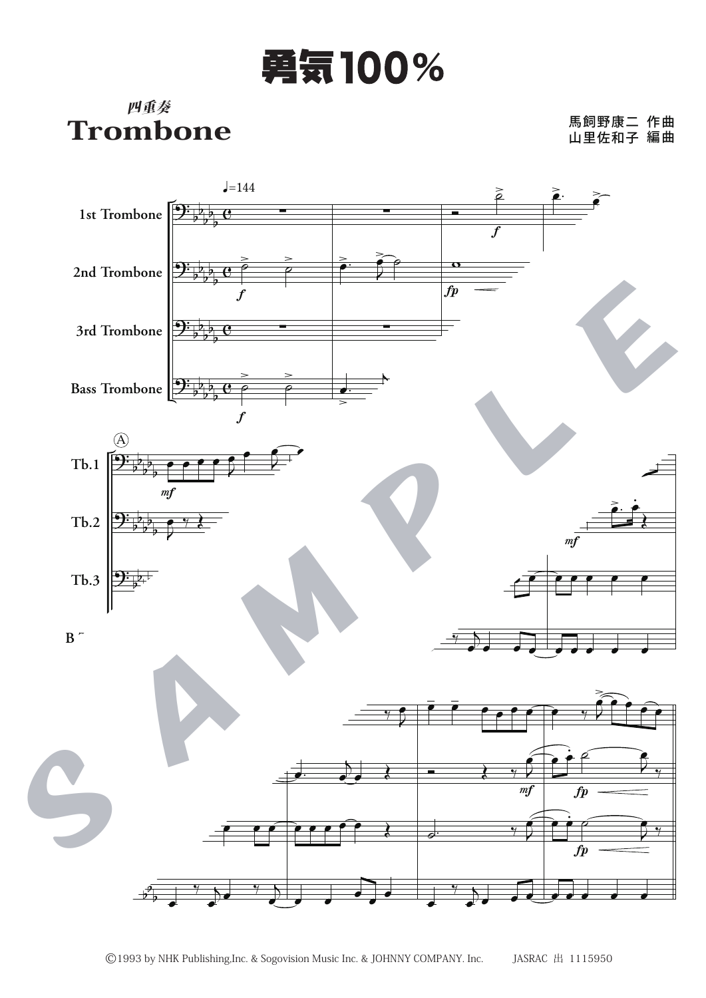## 勇気100%

## 四重奏 Trombone

## 馬飼野康二 山里佐和子 作曲 編曲